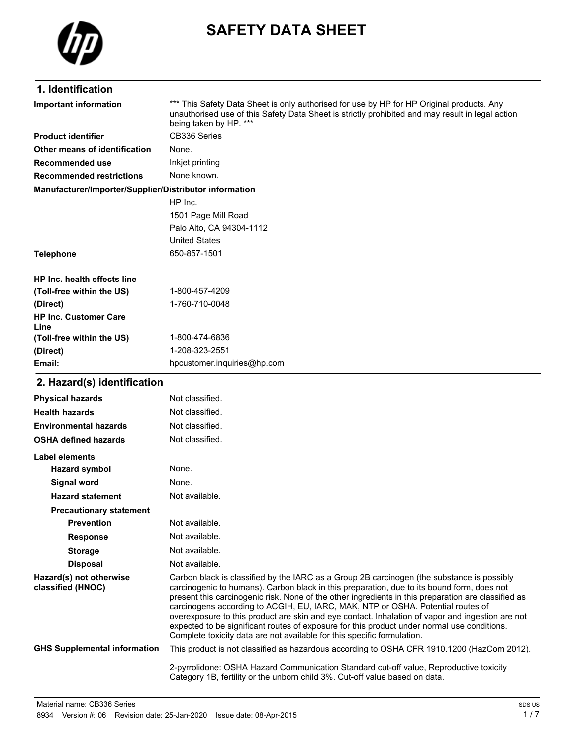

# **SAFETY DATA SHEET**

### **1. Identification**

\*\*\* This Safety Data Sheet is only authorised for use by HP for HP Original products. Any unauthorised use of this Safety Data Sheet is strictly prohibited and may result in legal action being taken by HP. \*\*\* **Important information Product identifier** CB336 Series **Other means of identification** None. **Recommended use** Inkjet printing **Recommended restrictions** None known. **Manufacturer/Importer/Supplier/Distributor information** HP Inc. 1501 Page Mill Road Palo Alto, CA 94304-1112 United States **Telephone** 650-857-1501 **HP Inc. health effects line (Toll-free within the US)** 1-800-457-4209 **(Direct)** 1-760-710-0048 **HP Inc. Customer Care (Toll-free within the US)** 1-800-474-6836 **(Direct)** 1-208-323-2551 **Email:** hpcustomer.inquiries@hp.com

#### **2. Hazard(s) identification**

**Line**

| <b>Physical hazards</b>                      | Not classified.                                                                                                                                                                                                                                                                                                                                                                                                                                                                                                                                                                                                                                                  |
|----------------------------------------------|------------------------------------------------------------------------------------------------------------------------------------------------------------------------------------------------------------------------------------------------------------------------------------------------------------------------------------------------------------------------------------------------------------------------------------------------------------------------------------------------------------------------------------------------------------------------------------------------------------------------------------------------------------------|
| <b>Health hazards</b>                        | Not classified.                                                                                                                                                                                                                                                                                                                                                                                                                                                                                                                                                                                                                                                  |
| <b>Environmental hazards</b>                 | Not classified.                                                                                                                                                                                                                                                                                                                                                                                                                                                                                                                                                                                                                                                  |
| <b>OSHA defined hazards</b>                  | Not classified.                                                                                                                                                                                                                                                                                                                                                                                                                                                                                                                                                                                                                                                  |
| Label elements                               |                                                                                                                                                                                                                                                                                                                                                                                                                                                                                                                                                                                                                                                                  |
| <b>Hazard symbol</b>                         | None.                                                                                                                                                                                                                                                                                                                                                                                                                                                                                                                                                                                                                                                            |
| Signal word                                  | None.                                                                                                                                                                                                                                                                                                                                                                                                                                                                                                                                                                                                                                                            |
| <b>Hazard statement</b>                      | Not available.                                                                                                                                                                                                                                                                                                                                                                                                                                                                                                                                                                                                                                                   |
| <b>Precautionary statement</b>               |                                                                                                                                                                                                                                                                                                                                                                                                                                                                                                                                                                                                                                                                  |
| <b>Prevention</b>                            | Not available.                                                                                                                                                                                                                                                                                                                                                                                                                                                                                                                                                                                                                                                   |
| <b>Response</b>                              | Not available.                                                                                                                                                                                                                                                                                                                                                                                                                                                                                                                                                                                                                                                   |
| <b>Storage</b>                               | Not available.                                                                                                                                                                                                                                                                                                                                                                                                                                                                                                                                                                                                                                                   |
| <b>Disposal</b>                              | Not available.                                                                                                                                                                                                                                                                                                                                                                                                                                                                                                                                                                                                                                                   |
| Hazard(s) not otherwise<br>classified (HNOC) | Carbon black is classified by the IARC as a Group 2B carcinogen (the substance is possibly<br>carcinogenic to humans). Carbon black in this preparation, due to its bound form, does not<br>present this carcinogenic risk. None of the other ingredients in this preparation are classified as<br>carcinogens according to ACGIH, EU, IARC, MAK, NTP or OSHA. Potential routes of<br>overexposure to this product are skin and eye contact. Inhalation of vapor and ingestion are not<br>expected to be significant routes of exposure for this product under normal use conditions.<br>Complete toxicity data are not available for this specific formulation. |
| <b>GHS Supplemental information</b>          | This product is not classified as hazardous according to OSHA CFR 1910.1200 (HazCom 2012).                                                                                                                                                                                                                                                                                                                                                                                                                                                                                                                                                                       |
|                                              | 2-pyrrolidone: OSHA Hazard Communication Standard cut-off value, Reproductive toxicity<br>Category 1B, fertility or the unborn child 3%. Cut-off value based on data.                                                                                                                                                                                                                                                                                                                                                                                                                                                                                            |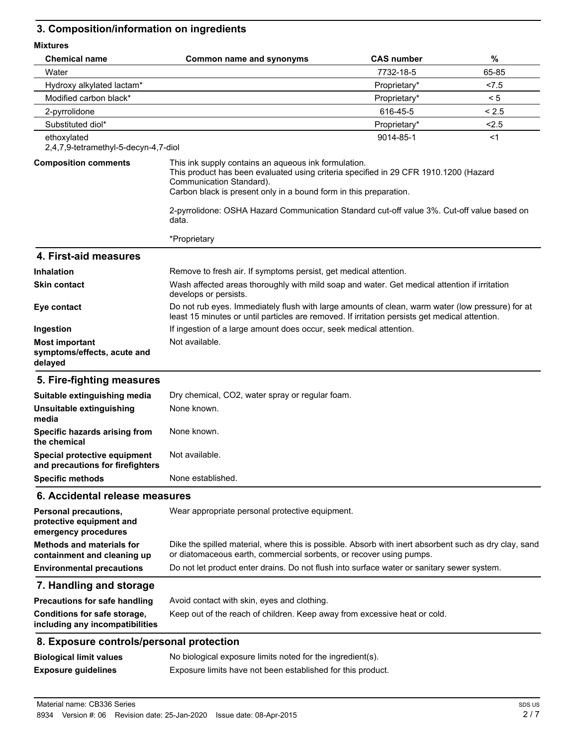# **3. Composition/information on ingredients**

| <b>MIXTURES</b>                                                           |                                                                                                                                                                                                                                               |                   |       |
|---------------------------------------------------------------------------|-----------------------------------------------------------------------------------------------------------------------------------------------------------------------------------------------------------------------------------------------|-------------------|-------|
| <b>Chemical name</b>                                                      | <b>Common name and synonyms</b>                                                                                                                                                                                                               | <b>CAS number</b> | %     |
| Water                                                                     |                                                                                                                                                                                                                                               | 7732-18-5         | 65-85 |
| Hydroxy alkylated lactam*                                                 |                                                                                                                                                                                                                                               | Proprietary*      | < 7.5 |
| Modified carbon black*                                                    |                                                                                                                                                                                                                                               | Proprietary*      | < 5   |
| 2-pyrrolidone                                                             |                                                                                                                                                                                                                                               | 616-45-5          | < 2.5 |
| Substituted diol*                                                         |                                                                                                                                                                                                                                               | Proprietary*      | 2.5   |
| ethoxylated<br>2,4,7,9-tetramethyl-5-decyn-4,7-diol                       |                                                                                                                                                                                                                                               | 9014-85-1         | $<$ 1 |
| <b>Composition comments</b>                                               | This ink supply contains an aqueous ink formulation.<br>This product has been evaluated using criteria specified in 29 CFR 1910.1200 (Hazard<br>Communication Standard).<br>Carbon black is present only in a bound form in this preparation. |                   |       |
|                                                                           | 2-pyrrolidone: OSHA Hazard Communication Standard cut-off value 3%. Cut-off value based on<br>data.                                                                                                                                           |                   |       |
|                                                                           | *Proprietary                                                                                                                                                                                                                                  |                   |       |
| 4. First-aid measures                                                     |                                                                                                                                                                                                                                               |                   |       |
| <b>Inhalation</b>                                                         | Remove to fresh air. If symptoms persist, get medical attention.                                                                                                                                                                              |                   |       |
| <b>Skin contact</b>                                                       | Wash affected areas thoroughly with mild soap and water. Get medical attention if irritation<br>develops or persists.                                                                                                                         |                   |       |
| Eye contact                                                               | Do not rub eyes. Immediately flush with large amounts of clean, warm water (low pressure) for at<br>least 15 minutes or until particles are removed. If irritation persists get medical attention.                                            |                   |       |
| Ingestion                                                                 | If ingestion of a large amount does occur, seek medical attention.                                                                                                                                                                            |                   |       |
| <b>Most important</b><br>symptoms/effects, acute and<br>delayed           | Not available.                                                                                                                                                                                                                                |                   |       |
| 5. Fire-fighting measures                                                 |                                                                                                                                                                                                                                               |                   |       |
| Suitable extinguishing media                                              | Dry chemical, CO2, water spray or regular foam.                                                                                                                                                                                               |                   |       |
| Unsuitable extinguishing<br>media                                         | None known.                                                                                                                                                                                                                                   |                   |       |
| Specific hazards arising from<br>the chemical                             | None known.                                                                                                                                                                                                                                   |                   |       |
| Special protective equipment<br>and precautions for firefighters          | Not available.                                                                                                                                                                                                                                |                   |       |
| <b>Specific methods</b>                                                   | None established.                                                                                                                                                                                                                             |                   |       |
| 6. Accidental release measures                                            |                                                                                                                                                                                                                                               |                   |       |
| Personal precautions,<br>protective equipment and<br>emergency procedures | Wear appropriate personal protective equipment.                                                                                                                                                                                               |                   |       |
| <b>Methods and materials for</b><br>containment and cleaning up           | Dike the spilled material, where this is possible. Absorb with inert absorbent such as dry clay, sand<br>or diatomaceous earth, commercial sorbents, or recover using pumps.                                                                  |                   |       |
| <b>Environmental precautions</b>                                          | Do not let product enter drains. Do not flush into surface water or sanitary sewer system.                                                                                                                                                    |                   |       |
| 7. Handling and storage                                                   |                                                                                                                                                                                                                                               |                   |       |
| <b>Precautions for safe handling</b>                                      | Avoid contact with skin, eyes and clothing.                                                                                                                                                                                                   |                   |       |
| Conditions for safe storage,<br>including any incompatibilities           | Keep out of the reach of children. Keep away from excessive heat or cold.                                                                                                                                                                     |                   |       |
| 8. Exposure controls/personal protection                                  |                                                                                                                                                                                                                                               |                   |       |
| <b>Biological limit values</b>                                            | No biological exposure limits noted for the ingredient(s).                                                                                                                                                                                    |                   |       |
| <b>Exposure guidelines</b>                                                | Exposure limits have not been established for this product.                                                                                                                                                                                   |                   |       |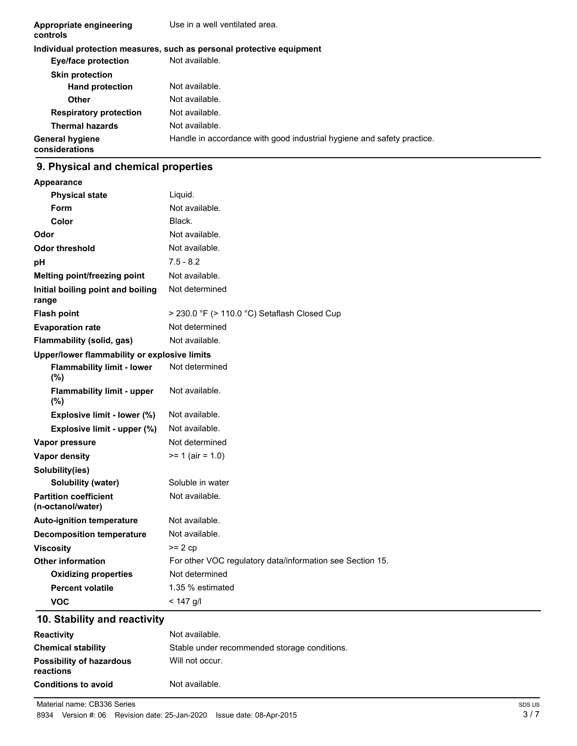| Appropriate engineering<br>controls      | Use in a well ventilated area.                                         |
|------------------------------------------|------------------------------------------------------------------------|
|                                          | Individual protection measures, such as personal protective equipment  |
| <b>Eye/face protection</b>               | Not available.                                                         |
| <b>Skin protection</b>                   |                                                                        |
| <b>Hand protection</b>                   | Not available.                                                         |
| Other                                    | Not available.                                                         |
| <b>Respiratory protection</b>            | Not available.                                                         |
| <b>Thermal hazards</b>                   | Not available.                                                         |
| <b>General hygiene</b><br>considerations | Handle in accordance with good industrial hygiene and safety practice. |

### **9. Physical and chemical properties**

| <b>Appearance</b>                                 |                                                           |
|---------------------------------------------------|-----------------------------------------------------------|
| <b>Physical state</b>                             | Liquid.                                                   |
| Form                                              | Not available.                                            |
| Color                                             | Black.                                                    |
| Odor                                              | Not available.                                            |
| Odor threshold                                    | Not available.                                            |
| pH                                                | $7.5 - 8.2$                                               |
| Melting point/freezing point                      | Not available.                                            |
| Initial boiling point and boiling<br>range        | Not determined                                            |
| <b>Flash point</b>                                | $>$ 230.0 °F ( $>$ 110.0 °C) Setaflash Closed Cup         |
| <b>Evaporation rate</b>                           | Not determined                                            |
| Flammability (solid, gas)                         | Not available.                                            |
| Upper/lower flammability or explosive limits      |                                                           |
| <b>Flammability limit - lower</b><br>(%)          | Not determined                                            |
| <b>Flammability limit - upper</b><br>(%)          | Not available.                                            |
| Explosive limit - lower (%)                       | Not available.                                            |
| Explosive limit - upper (%)                       | Not available.                                            |
| Vapor pressure                                    | Not determined                                            |
| <b>Vapor density</b>                              | $>= 1$ (air = 1.0)                                        |
| Solubility(ies)                                   |                                                           |
| <b>Solubility (water)</b>                         | Soluble in water                                          |
| <b>Partition coefficient</b><br>(n-octanol/water) | Not available.                                            |
| <b>Auto-ignition temperature</b>                  | Not available.                                            |
| <b>Decomposition temperature</b>                  | Not available.                                            |
| <b>Viscosity</b>                                  | $>= 2 cp$                                                 |
| <b>Other information</b>                          | For other VOC regulatory data/information see Section 15. |
| <b>Oxidizing properties</b>                       | Not determined                                            |
| <b>Percent volatile</b>                           | 1.35 % estimated                                          |
| VOC                                               | $< 147$ a/l                                               |

# **10. Stability and reactivity**

| <b>Reactivity</b>                            | Not available.                               |
|----------------------------------------------|----------------------------------------------|
| <b>Chemical stability</b>                    | Stable under recommended storage conditions. |
| <b>Possibility of hazardous</b><br>reactions | Will not occur.                              |
| <b>Conditions to avoid</b>                   | Not available.                               |

Material name: CB336 Series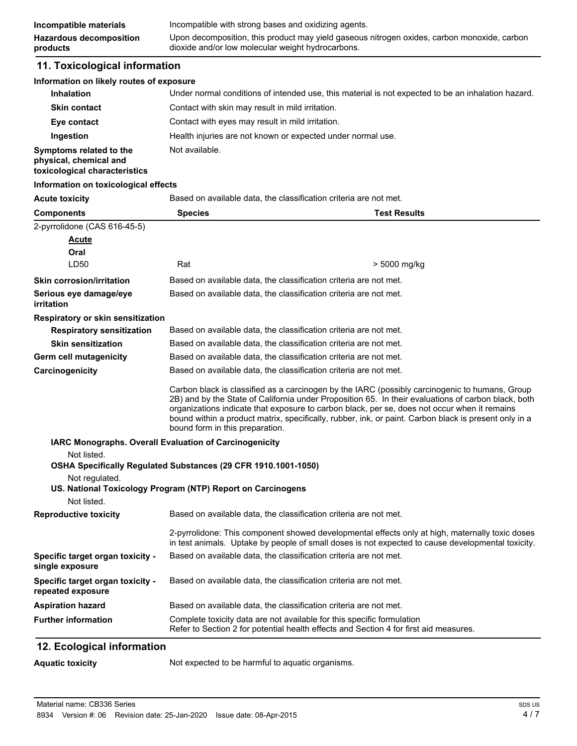#### **11. Toxicological information**

#### **Information on likely routes of exposure**

| <b>Inhalation</b>                                                                  | Under normal conditions of intended use, this material is not expected to be an inhalation hazard. |
|------------------------------------------------------------------------------------|----------------------------------------------------------------------------------------------------|
| <b>Skin contact</b>                                                                | Contact with skin may result in mild irritation.                                                   |
| Eye contact                                                                        | Contact with eyes may result in mild irritation.                                                   |
| Ingestion                                                                          | Health injuries are not known or expected under normal use.                                        |
| Symptoms related to the<br>physical, chemical and<br>toxicological characteristics | Not available.                                                                                     |

#### **Information on toxicological effects**

**Acute toxicity** Based on available data, the classification criteria are not met.

| <b>Components</b>                                     | <b>Species</b>                                                                                                                                                                                                                                                                                                                                                                                                                                    | <b>Test Results</b> |
|-------------------------------------------------------|---------------------------------------------------------------------------------------------------------------------------------------------------------------------------------------------------------------------------------------------------------------------------------------------------------------------------------------------------------------------------------------------------------------------------------------------------|---------------------|
| 2-pyrrolidone (CAS 616-45-5)                          |                                                                                                                                                                                                                                                                                                                                                                                                                                                   |                     |
| Acute                                                 |                                                                                                                                                                                                                                                                                                                                                                                                                                                   |                     |
| Oral                                                  |                                                                                                                                                                                                                                                                                                                                                                                                                                                   |                     |
| LD50                                                  | Rat                                                                                                                                                                                                                                                                                                                                                                                                                                               | > 5000 mg/kg        |
| <b>Skin corrosion/irritation</b>                      | Based on available data, the classification criteria are not met.                                                                                                                                                                                                                                                                                                                                                                                 |                     |
| Serious eye damage/eye<br>irritation                  | Based on available data, the classification criteria are not met.                                                                                                                                                                                                                                                                                                                                                                                 |                     |
| Respiratory or skin sensitization                     |                                                                                                                                                                                                                                                                                                                                                                                                                                                   |                     |
| <b>Respiratory sensitization</b>                      | Based on available data, the classification criteria are not met.                                                                                                                                                                                                                                                                                                                                                                                 |                     |
| <b>Skin sensitization</b>                             | Based on available data, the classification criteria are not met.                                                                                                                                                                                                                                                                                                                                                                                 |                     |
| Germ cell mutagenicity                                | Based on available data, the classification criteria are not met.                                                                                                                                                                                                                                                                                                                                                                                 |                     |
| Carcinogenicity                                       | Based on available data, the classification criteria are not met.                                                                                                                                                                                                                                                                                                                                                                                 |                     |
|                                                       | Carbon black is classified as a carcinogen by the IARC (possibly carcinogenic to humans, Group<br>2B) and by the State of California under Proposition 65. In their evaluations of carbon black, both<br>organizations indicate that exposure to carbon black, per se, does not occur when it remains<br>bound within a product matrix, specifically, rubber, ink, or paint. Carbon black is present only in a<br>bound form in this preparation. |                     |
|                                                       | IARC Monographs. Overall Evaluation of Carcinogenicity                                                                                                                                                                                                                                                                                                                                                                                            |                     |
| Not listed.                                           |                                                                                                                                                                                                                                                                                                                                                                                                                                                   |                     |
|                                                       | OSHA Specifically Regulated Substances (29 CFR 1910.1001-1050)                                                                                                                                                                                                                                                                                                                                                                                    |                     |
| Not regulated.                                        | US. National Toxicology Program (NTP) Report on Carcinogens                                                                                                                                                                                                                                                                                                                                                                                       |                     |
| Not listed.                                           |                                                                                                                                                                                                                                                                                                                                                                                                                                                   |                     |
| <b>Reproductive toxicity</b>                          | Based on available data, the classification criteria are not met.                                                                                                                                                                                                                                                                                                                                                                                 |                     |
|                                                       | 2-pyrrolidone: This component showed developmental effects only at high, maternally toxic doses<br>in test animals. Uptake by people of small doses is not expected to cause developmental toxicity.                                                                                                                                                                                                                                              |                     |
| Specific target organ toxicity -<br>single exposure   | Based on available data, the classification criteria are not met.                                                                                                                                                                                                                                                                                                                                                                                 |                     |
| Specific target organ toxicity -<br>repeated exposure | Based on available data, the classification criteria are not met.                                                                                                                                                                                                                                                                                                                                                                                 |                     |
| <b>Aspiration hazard</b>                              | Based on available data, the classification criteria are not met.                                                                                                                                                                                                                                                                                                                                                                                 |                     |
| <b>Further information</b>                            | Complete toxicity data are not available for this specific formulation<br>Refer to Section 2 for potential health effects and Section 4 for first aid measures.                                                                                                                                                                                                                                                                                   |                     |

#### **12. Ecological information**

**Aquatic toxicity** Not expected to be harmful to aquatic organisms.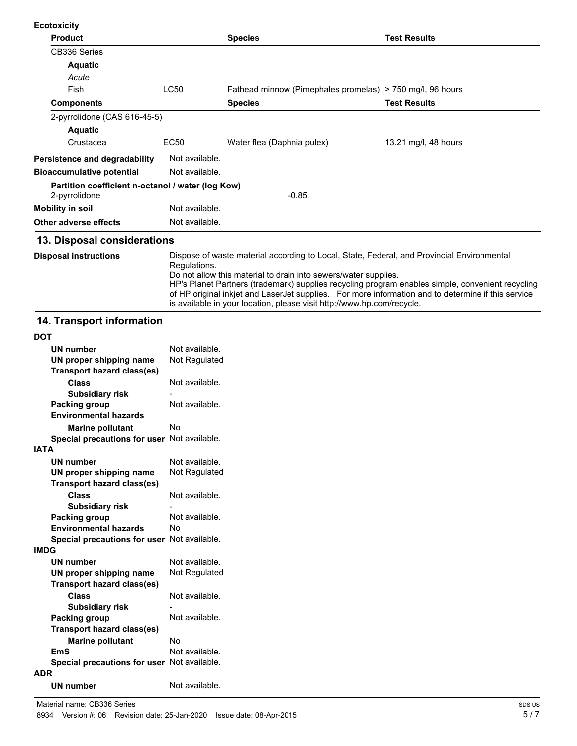| <b>Ecotoxicity</b>                                                 |                |                                                           |                      |
|--------------------------------------------------------------------|----------------|-----------------------------------------------------------|----------------------|
| <b>Product</b>                                                     |                | <b>Species</b>                                            | <b>Test Results</b>  |
| CB336 Series                                                       |                |                                                           |                      |
| <b>Aquatic</b>                                                     |                |                                                           |                      |
| Acute                                                              |                |                                                           |                      |
| Fish                                                               | <b>LC50</b>    | Fathead minnow (Pimephales promelas) > 750 mg/l, 96 hours |                      |
| <b>Components</b>                                                  |                | <b>Species</b>                                            | <b>Test Results</b>  |
| 2-pyrrolidone (CAS 616-45-5)                                       |                |                                                           |                      |
| <b>Aquatic</b>                                                     |                |                                                           |                      |
| Crustacea                                                          | EC50           | Water flea (Daphnia pulex)                                | 13.21 mg/l, 48 hours |
| Persistence and degradability                                      | Not available. |                                                           |                      |
| <b>Bioaccumulative potential</b>                                   | Not available. |                                                           |                      |
| Partition coefficient n-octanol / water (log Kow)<br>2-pyrrolidone |                | $-0.85$                                                   |                      |
| Mobility in soil                                                   | Not available. |                                                           |                      |
| Other adverse effects                                              | Not available. |                                                           |                      |

Dispose of waste material according to Local, State, Federal, and Provincial Environmental Regulations. Do not allow this material to drain into sewers/water supplies. HP's Planet Partners (trademark) supplies recycling program enables simple, convenient recycling of HP original inkjet and LaserJet supplies. For more information and to determine if this service is available in your location, please visit http://www.hp.com/recycle. **Disposal instructions**

#### **14. Transport information**

| וטע                                         |                |
|---------------------------------------------|----------------|
| UN number                                   | Not available. |
| UN proper shipping name                     | Not Regulated  |
| Transport hazard class(es)                  |                |
| <b>Class</b>                                | Not available. |
| <b>Subsidiary risk</b>                      |                |
| Packing group                               | Not available. |
| <b>Environmental hazards</b>                |                |
| <b>Marine pollutant</b>                     | No             |
| Special precautions for user Not available. |                |
| <b>IATA</b>                                 |                |
| <b>UN number</b>                            | Not available. |
| UN proper shipping name                     | Not Regulated  |
| <b>Transport hazard class(es)</b>           |                |
| <b>Class</b>                                | Not available. |
| <b>Subsidiary risk</b>                      |                |
| Packing group                               | Not available. |
| <b>Environmental hazards</b>                | No             |
| Special precautions for user Not available. |                |
| <b>IMDG</b>                                 |                |
| <b>UN number</b>                            | Not available. |
| UN proper shipping name                     | Not Regulated  |
| Transport hazard class(es)                  |                |
| <b>Class</b>                                | Not available. |
| <b>Subsidiary risk</b>                      |                |
| Packing group                               | Not available. |
| <b>Transport hazard class(es)</b>           |                |
| <b>Marine pollutant</b>                     | No             |
| <b>EmS</b>                                  | Not available. |
| Special precautions for user Not available. |                |
| <b>ADR</b>                                  |                |
| <b>UN number</b>                            | Not available. |
|                                             |                |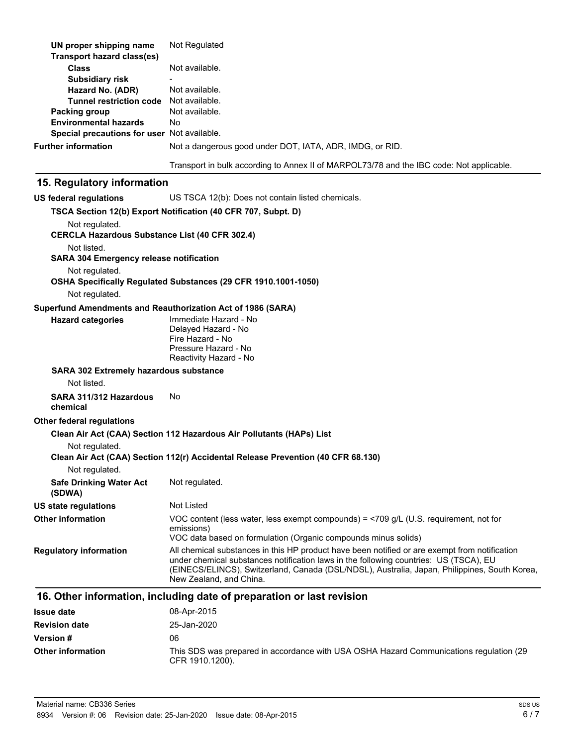| UN proper shipping name<br><b>Transport hazard class(es)</b>            | Not Regulated                                                                                                                                                                                                                                                                                                     |
|-------------------------------------------------------------------------|-------------------------------------------------------------------------------------------------------------------------------------------------------------------------------------------------------------------------------------------------------------------------------------------------------------------|
| <b>Class</b>                                                            | Not available.                                                                                                                                                                                                                                                                                                    |
| <b>Subsidiary risk</b>                                                  |                                                                                                                                                                                                                                                                                                                   |
| Hazard No. (ADR)                                                        | Not available.                                                                                                                                                                                                                                                                                                    |
| <b>Tunnel restriction code</b>                                          | Not available.<br>Not available.                                                                                                                                                                                                                                                                                  |
| Packing group<br><b>Environmental hazards</b>                           | No.                                                                                                                                                                                                                                                                                                               |
| Special precautions for user Not available.                             |                                                                                                                                                                                                                                                                                                                   |
| <b>Further information</b>                                              | Not a dangerous good under DOT, IATA, ADR, IMDG, or RID.                                                                                                                                                                                                                                                          |
|                                                                         |                                                                                                                                                                                                                                                                                                                   |
|                                                                         | Transport in bulk according to Annex II of MARPOL73/78 and the IBC code: Not applicable.                                                                                                                                                                                                                          |
| 15. Regulatory information                                              |                                                                                                                                                                                                                                                                                                                   |
| <b>US federal regulations</b>                                           | US TSCA 12(b): Does not contain listed chemicals.                                                                                                                                                                                                                                                                 |
|                                                                         | TSCA Section 12(b) Export Notification (40 CFR 707, Subpt. D)                                                                                                                                                                                                                                                     |
| Not regulated.<br><b>CERCLA Hazardous Substance List (40 CFR 302.4)</b> |                                                                                                                                                                                                                                                                                                                   |
| Not listed.<br><b>SARA 304 Emergency release notification</b>           |                                                                                                                                                                                                                                                                                                                   |
| Not regulated.                                                          | OSHA Specifically Regulated Substances (29 CFR 1910.1001-1050)                                                                                                                                                                                                                                                    |
| Not regulated.                                                          |                                                                                                                                                                                                                                                                                                                   |
|                                                                         | Superfund Amendments and Reauthorization Act of 1986 (SARA)                                                                                                                                                                                                                                                       |
| <b>Hazard categories</b>                                                | Immediate Hazard - No                                                                                                                                                                                                                                                                                             |
|                                                                         | Delayed Hazard - No<br>Fire Hazard - No<br>Pressure Hazard - No                                                                                                                                                                                                                                                   |
|                                                                         | Reactivity Hazard - No                                                                                                                                                                                                                                                                                            |
| <b>SARA 302 Extremely hazardous substance</b>                           |                                                                                                                                                                                                                                                                                                                   |
| Not listed.                                                             |                                                                                                                                                                                                                                                                                                                   |
| SARA 311/312 Hazardous<br>chemical                                      | No                                                                                                                                                                                                                                                                                                                |
| Other federal regulations                                               |                                                                                                                                                                                                                                                                                                                   |
|                                                                         | Clean Air Act (CAA) Section 112 Hazardous Air Pollutants (HAPs) List                                                                                                                                                                                                                                              |
| Not regulated.                                                          | Clean Air Act (CAA) Section 112(r) Accidental Release Prevention (40 CFR 68.130)                                                                                                                                                                                                                                  |
| Not regulated.                                                          |                                                                                                                                                                                                                                                                                                                   |
| <b>Safe Drinking Water Act</b><br>(SDWA)                                | Not regulated.                                                                                                                                                                                                                                                                                                    |
| <b>US state regulations</b>                                             | Not Listed                                                                                                                                                                                                                                                                                                        |
| <b>Other information</b>                                                | VOC content (less water, less exempt compounds) = $\langle$ 709 g/L (U.S. requirement, not for<br>emissions)                                                                                                                                                                                                      |
|                                                                         | VOC data based on formulation (Organic compounds minus solids)                                                                                                                                                                                                                                                    |
| <b>Regulatory information</b>                                           | All chemical substances in this HP product have been notified or are exempt from notification<br>under chemical substances notification laws in the following countries: US (TSCA), EU<br>(EINECS/ELINCS), Switzerland, Canada (DSL/NDSL), Australia, Japan, Philippines, South Korea,<br>New Zealand, and China. |
|                                                                         | 16. Other information, including date of preparation or last revision                                                                                                                                                                                                                                             |
| <b>Issue date</b>                                                       | 08-Apr-2015                                                                                                                                                                                                                                                                                                       |
| <b>Revision date</b>                                                    | 25-Jan-2020                                                                                                                                                                                                                                                                                                       |

| <b>Revision date</b>     | 25-Jan-2020                                                                                               |
|--------------------------|-----------------------------------------------------------------------------------------------------------|
| <b>Version</b> #         | 06                                                                                                        |
| <b>Other information</b> | This SDS was prepared in accordance with USA OSHA Hazard Communications regulation (29<br>CFR 1910.1200). |